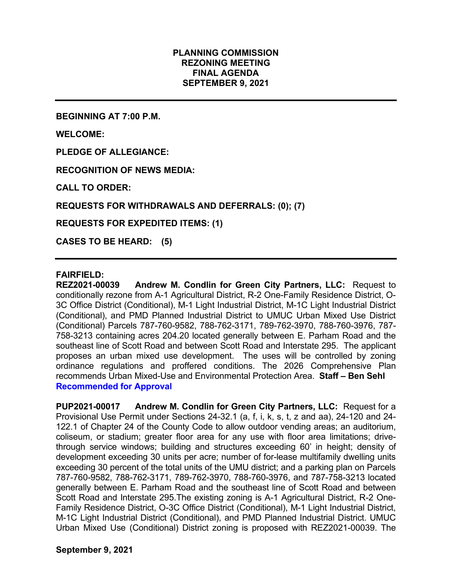# PLANNING COMMISSION REZONING MEETING FINAL AGENDA SEPTEMBER 9, 2021

BEGINNING AT 7:00 P.M.

WELCOME:

PLEDGE OF ALLEGIANCE:

RECOGNITION OF NEWS MEDIA:

CALL TO ORDER:

REQUESTS FOR WITHDRAWALS AND DEFERRALS: (0); (7)

REQUESTS FOR EXPEDITED ITEMS: (1)

CASES TO BE HEARD: (5)

#### FAIRFIELD:

REZ2021-00039 Andrew M. Condlin for Green City Partners, LLC: Request to conditionally rezone from A-1 Agricultural District, R-2 One-Family Residence District, O-3C Office District (Conditional), M-1 Light Industrial District, M-1C Light Industrial District (Conditional), and PMD Planned Industrial District to UMUC Urban Mixed Use District (Conditional) Parcels 787-760-9582, 788-762-3171, 789-762-3970, 788-760-3976, 787- 758-3213 containing acres 204.20 located generally between E. Parham Road and the southeast line of Scott Road and between Scott Road and Interstate 295. The applicant proposes an urban mixed use development. The uses will be controlled by zoning ordinance regulations and proffered conditions. The 2026 Comprehensive Plan recommends Urban Mixed-Use and Environmental Protection Area. Staff – Ben Sehl Recommended for Approval

PUP2021-00017 Andrew M. Condlin for Green City Partners, LLC: Request for a Provisional Use Permit under Sections 24-32.1 (a, f, i, k, s, t, z and aa), 24-120 and 24- 122.1 of Chapter 24 of the County Code to allow outdoor vending areas; an auditorium, coliseum, or stadium; greater floor area for any use with floor area limitations; drivethrough service windows; building and structures exceeding 60' in height; density of development exceeding 30 units per acre; number of for-lease multifamily dwelling units exceeding 30 percent of the total units of the UMU district; and a parking plan on Parcels 787-760-9582, 788-762-3171, 789-762-3970, 788-760-3976, and 787-758-3213 located generally between E. Parham Road and the southeast line of Scott Road and between Scott Road and Interstate 295.The existing zoning is A-1 Agricultural District, R-2 One-Family Residence District, O-3C Office District (Conditional), M-1 Light Industrial District, M-1C Light Industrial District (Conditional), and PMD Planned Industrial District. UMUC Urban Mixed Use (Conditional) District zoning is proposed with REZ2021-00039. The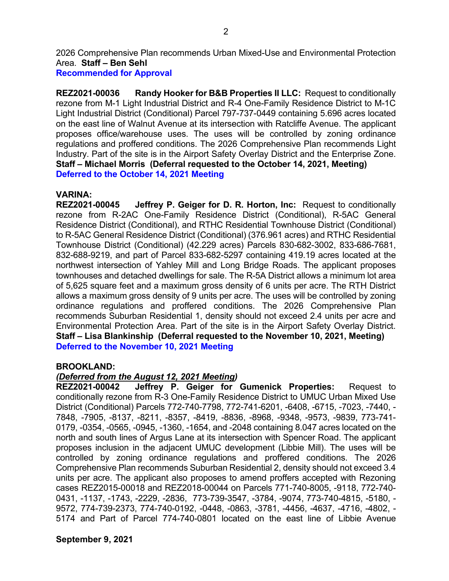2026 Comprehensive Plan recommends Urban Mixed-Use and Environmental Protection Area. Staff – Ben Sehl

Recommended for Approval

REZ2021-00036 Randy Hooker for B&B Properties II LLC: Request to conditionally rezone from M-1 Light Industrial District and R-4 One-Family Residence District to M-1C Light Industrial District (Conditional) Parcel 797-737-0449 containing 5.696 acres located on the east line of Walnut Avenue at its intersection with Ratcliffe Avenue. The applicant proposes office/warehouse uses. The uses will be controlled by zoning ordinance regulations and proffered conditions. The 2026 Comprehensive Plan recommends Light Industry. Part of the site is in the Airport Safety Overlay District and the Enterprise Zone. Staff – Michael Morris (Deferral requested to the October 14, 2021, Meeting) Deferred to the October 14, 2021 Meeting

# VARINA:

REZ2021-00045 Jeffrey P. Geiger for D. R. Horton, Inc: Request to conditionally rezone from R-2AC One-Family Residence District (Conditional), R-5AC General Residence District (Conditional), and RTHC Residential Townhouse District (Conditional) to R-5AC General Residence District (Conditional) (376.961 acres) and RTHC Residential Townhouse District (Conditional) (42.229 acres) Parcels 830-682-3002, 833-686-7681, 832-688-9219, and part of Parcel 833-682-5297 containing 419.19 acres located at the northwest intersection of Yahley Mill and Long Bridge Roads. The applicant proposes townhouses and detached dwellings for sale. The R-5A District allows a minimum lot area of 5,625 square feet and a maximum gross density of 6 units per acre. The RTH District allows a maximum gross density of 9 units per acre. The uses will be controlled by zoning ordinance regulations and proffered conditions. The 2026 Comprehensive Plan recommends Suburban Residential 1, density should not exceed 2.4 units per acre and Environmental Protection Area. Part of the site is in the Airport Safety Overlay District. Staff – Lisa Blankinship (Deferral requested to the November 10, 2021, Meeting) Deferred to the November 10, 2021 Meeting

#### BROOKLAND:

# (Deferred from the August 12, 2021 Meeting)

REZ2021-00042 Jeffrey P. Geiger for Gumenick Properties: Request to conditionally rezone from R-3 One-Family Residence District to UMUC Urban Mixed Use District (Conditional) Parcels 772-740-7798, 772-741-6201, -6408, -6715, -7023, -7440, - 7848, -7905, -8137, -8211, -8357, -8419, -8836, -8968, -9348, -9573, -9839, 773-741- 0179, -0354, -0565, -0945, -1360, -1654, and -2048 containing 8.047 acres located on the north and south lines of Argus Lane at its intersection with Spencer Road. The applicant proposes inclusion in the adjacent UMUC development (Libbie Mill). The uses will be controlled by zoning ordinance regulations and proffered conditions. The 2026 Comprehensive Plan recommends Suburban Residential 2, density should not exceed 3.4 units per acre. The applicant also proposes to amend proffers accepted with Rezoning cases REZ2015-00018 and REZ2018-00044 on Parcels 771-740-8005, -9118, 772-740- 0431, -1137, -1743, -2229, -2836, 773-739-3547, -3784, -9074, 773-740-4815, -5180, - 9572, 774-739-2373, 774-740-0192, -0448, -0863, -3781, -4456, -4637, -4716, -4802, - 5174 and Part of Parcel 774-740-0801 located on the east line of Libbie Avenue

# September 9, 2021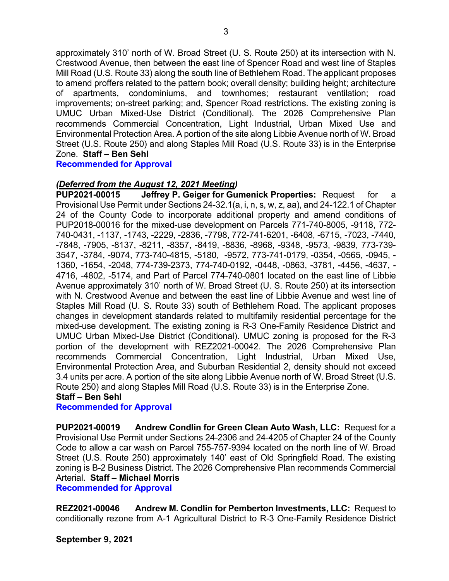approximately 310' north of W. Broad Street (U. S. Route 250) at its intersection with N. Crestwood Avenue, then between the east line of Spencer Road and west line of Staples Mill Road (U.S. Route 33) along the south line of Bethlehem Road. The applicant proposes to amend proffers related to the pattern book; overall density; building height; architecture of apartments, condominiums, and townhomes; restaurant ventilation; road improvements; on-street parking; and, Spencer Road restrictions. The existing zoning is UMUC Urban Mixed-Use District (Conditional). The 2026 Comprehensive Plan recommends Commercial Concentration, Light Industrial, Urban Mixed Use and Environmental Protection Area. A portion of the site along Libbie Avenue north of W. Broad Street (U.S. Route 250) and along Staples Mill Road (U.S. Route 33) is in the Enterprise Zone. Staff – Ben Sehl

Recommended for Approval

# (Deferred from the August 12, 2021 Meeting)

PUP2021-00015 Jeffrey P. Geiger for Gumenick Properties: Request for a Provisional Use Permit under Sections 24-32.1(a, i, n, s, w, z, aa), and 24-122.1 of Chapter 24 of the County Code to incorporate additional property and amend conditions of PUP2018-00016 for the mixed-use development on Parcels 771-740-8005, -9118, 772- 740-0431, -1137, -1743, -2229, -2836, -7798, 772-741-6201, -6408, -6715, -7023, -7440, -7848, -7905, -8137, -8211, -8357, -8419, -8836, -8968, -9348, -9573, -9839, 773-739- 3547, -3784, -9074, 773-740-4815, -5180, -9572, 773-741-0179, -0354, -0565, -0945, - 1360, -1654, -2048, 774-739-2373, 774-740-0192, -0448, -0863, -3781, -4456, -4637, - 4716, -4802, -5174, and Part of Parcel 774-740-0801 located on the east line of Libbie Avenue approximately 310' north of W. Broad Street (U. S. Route 250) at its intersection with N. Crestwood Avenue and between the east line of Libbie Avenue and west line of Staples Mill Road (U. S. Route 33) south of Bethlehem Road. The applicant proposes changes in development standards related to multifamily residential percentage for the mixed-use development. The existing zoning is R-3 One-Family Residence District and UMUC Urban Mixed-Use District (Conditional). UMUC zoning is proposed for the R-3 portion of the development with REZ2021-00042. The 2026 Comprehensive Plan recommends Commercial Concentration, Light Industrial, Urban Mixed Use, Environmental Protection Area, and Suburban Residential 2, density should not exceed 3.4 units per acre. A portion of the site along Libbie Avenue north of W. Broad Street (U.S. Route 250) and along Staples Mill Road (U.S. Route 33) is in the Enterprise Zone.

# Staff – Ben Sehl

#### Recommended for Approval

PUP2021-00019 Andrew Condlin for Green Clean Auto Wash, LLC: Request for a Provisional Use Permit under Sections 24-2306 and 24-4205 of Chapter 24 of the County Code to allow a car wash on Parcel 755-757-9394 located on the north line of W. Broad Street (U.S. Route 250) approximately 140' east of Old Springfield Road. The existing zoning is B-2 Business District. The 2026 Comprehensive Plan recommends Commercial Arterial. Staff – Michael Morris

Recommended for Approval

REZ2021-00046 Andrew M. Condlin for Pemberton Investments, LLC: Request to conditionally rezone from A-1 Agricultural District to R-3 One-Family Residence District

September 9, 2021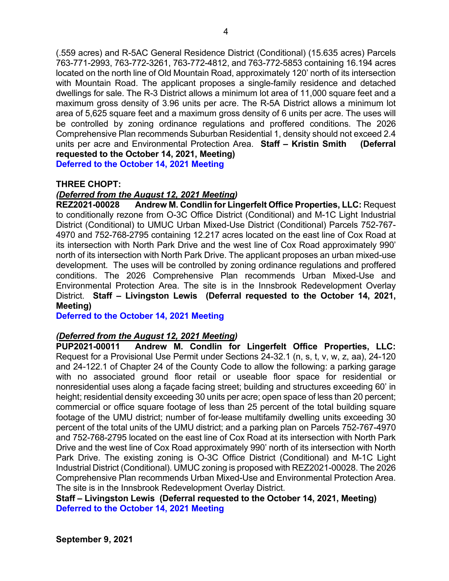(.559 acres) and R-5AC General Residence District (Conditional) (15.635 acres) Parcels 763-771-2993, 763-772-3261, 763-772-4812, and 763-772-5853 containing 16.194 acres located on the north line of Old Mountain Road, approximately 120' north of its intersection with Mountain Road. The applicant proposes a single-family residence and detached dwellings for sale. The R-3 District allows a minimum lot area of 11,000 square feet and a maximum gross density of 3.96 units per acre. The R-5A District allows a minimum lot area of 5,625 square feet and a maximum gross density of 6 units per acre. The uses will be controlled by zoning ordinance regulations and proffered conditions. The 2026 Comprehensive Plan recommends Suburban Residential 1, density should not exceed 2.4 units per acre and Environmental Protection Area. Staff – Kristin Smith (Deferral requested to the October 14, 2021, Meeting)

Deferred to the October 14, 2021 Meeting

# THREE CHOPT:

# (Deferred from the August 12, 2021 Meeting)

REZ2021-00028 Andrew M. Condlin for Lingerfelt Office Properties, LLC: Request to conditionally rezone from O-3C Office District (Conditional) and M-1C Light Industrial District (Conditional) to UMUC Urban Mixed-Use District (Conditional) Parcels 752-767- 4970 and 752-768-2795 containing 12.217 acres located on the east line of Cox Road at its intersection with North Park Drive and the west line of Cox Road approximately 990' north of its intersection with North Park Drive. The applicant proposes an urban mixed-use development. The uses will be controlled by zoning ordinance regulations and proffered conditions. The 2026 Comprehensive Plan recommends Urban Mixed-Use and Environmental Protection Area. The site is in the Innsbrook Redevelopment Overlay District. Staff – Livingston Lewis (Deferral requested to the October 14, 2021, Meeting)

Deferred to the October 14, 2021 Meeting

#### (Deferred from the August 12, 2021 Meeting)

PUP2021-00011 Andrew M. Condlin for Lingerfelt Office Properties, LLC: Request for a Provisional Use Permit under Sections 24-32.1 (n, s, t, v, w, z, aa), 24-120 and 24-122.1 of Chapter 24 of the County Code to allow the following: a parking garage with no associated ground floor retail or useable floor space for residential or nonresidential uses along a façade facing street; building and structures exceeding 60' in height; residential density exceeding 30 units per acre; open space of less than 20 percent; commercial or office square footage of less than 25 percent of the total building square footage of the UMU district; number of for-lease multifamily dwelling units exceeding 30 percent of the total units of the UMU district; and a parking plan on Parcels 752-767-4970 and 752-768-2795 located on the east line of Cox Road at its intersection with North Park Drive and the west line of Cox Road approximately 990' north of its intersection with North Park Drive. The existing zoning is O-3C Office District (Conditional) and M-1C Light Industrial District (Conditional). UMUC zoning is proposed with REZ2021-00028. The 2026 Comprehensive Plan recommends Urban Mixed-Use and Environmental Protection Area. The site is in the Innsbrook Redevelopment Overlay District.

Staff – Livingston Lewis (Deferral requested to the October 14, 2021, Meeting) Deferred to the October 14, 2021 Meeting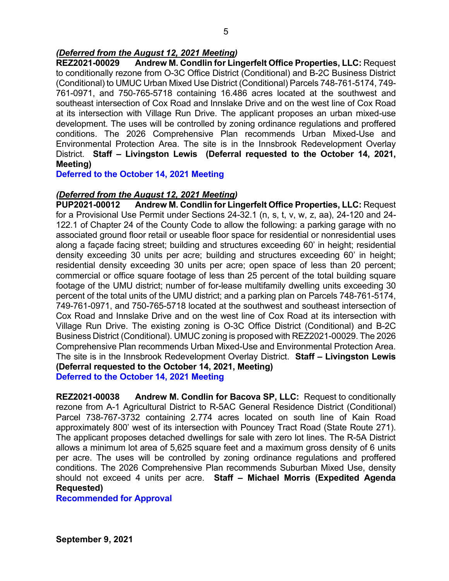# (Deferred from the August 12, 2021 Meeting)

REZ2021-00029 Andrew M. Condlin for Lingerfelt Office Properties, LLC: Request to conditionally rezone from O-3C Office District (Conditional) and B-2C Business District (Conditional) to UMUC Urban Mixed Use District (Conditional) Parcels 748-761-5174, 749- 761-0971, and 750-765-5718 containing 16.486 acres located at the southwest and southeast intersection of Cox Road and Innslake Drive and on the west line of Cox Road at its intersection with Village Run Drive. The applicant proposes an urban mixed-use development. The uses will be controlled by zoning ordinance regulations and proffered conditions. The 2026 Comprehensive Plan recommends Urban Mixed-Use and Environmental Protection Area. The site is in the Innsbrook Redevelopment Overlay District. Staff – Livingston Lewis (Deferral requested to the October 14, 2021, Meeting)

Deferred to the October 14, 2021 Meeting

# (Deferred from the August 12, 2021 Meeting)

PUP2021-00012 Andrew M. Condlin for Lingerfelt Office Properties, LLC: Request for a Provisional Use Permit under Sections 24-32.1 (n, s, t, v, w, z, aa), 24-120 and 24- 122.1 of Chapter 24 of the County Code to allow the following: a parking garage with no associated ground floor retail or useable floor space for residential or nonresidential uses along a façade facing street; building and structures exceeding 60' in height; residential density exceeding 30 units per acre; building and structures exceeding 60' in height; residential density exceeding 30 units per acre; open space of less than 20 percent; commercial or office square footage of less than 25 percent of the total building square footage of the UMU district; number of for-lease multifamily dwelling units exceeding 30 percent of the total units of the UMU district; and a parking plan on Parcels 748-761-5174, 749-761-0971, and 750-765-5718 located at the southwest and southeast intersection of Cox Road and Innslake Drive and on the west line of Cox Road at its intersection with Village Run Drive. The existing zoning is O-3C Office District (Conditional) and B-2C Business District (Conditional). UMUC zoning is proposed with REZ2021-00029. The 2026 Comprehensive Plan recommends Urban Mixed-Use and Environmental Protection Area. The site is in the Innsbrook Redevelopment Overlay District. Staff - Livingston Lewis (Deferral requested to the October 14, 2021, Meeting)

Deferred to the October 14, 2021 Meeting

REZ2021-00038 Andrew M. Condlin for Bacova SP, LLC: Request to conditionally rezone from A-1 Agricultural District to R-5AC General Residence District (Conditional) Parcel 738-767-3732 containing 2.774 acres located on south line of Kain Road approximately 800' west of its intersection with Pouncey Tract Road (State Route 271). The applicant proposes detached dwellings for sale with zero lot lines. The R-5A District allows a minimum lot area of 5,625 square feet and a maximum gross density of 6 units per acre. The uses will be controlled by zoning ordinance regulations and proffered conditions. The 2026 Comprehensive Plan recommends Suburban Mixed Use, density should not exceed 4 units per acre. Staff - Michael Morris (Expedited Agenda Requested)

Recommended for Approval